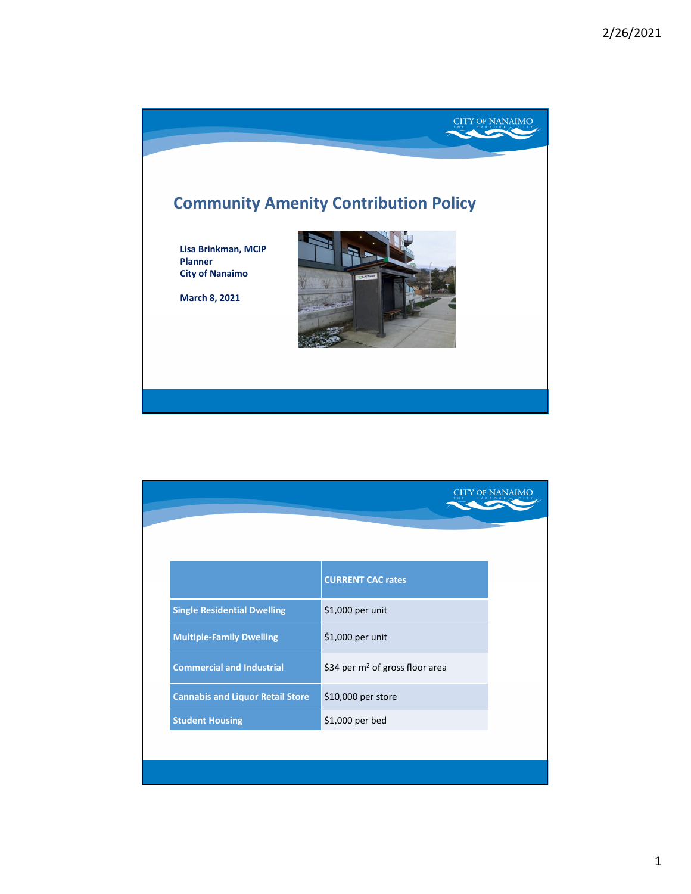

|                                         |                                             | y of Nanaimo |
|-----------------------------------------|---------------------------------------------|--------------|
|                                         |                                             |              |
|                                         |                                             |              |
|                                         | <b>CURRENT CAC rates</b>                    |              |
| <b>Single Residential Dwelling</b>      | \$1,000 per unit                            |              |
| <b>Multiple-Family Dwelling</b>         | \$1,000 per unit                            |              |
| <b>Commercial and Industrial</b>        | \$34 per m <sup>2</sup> of gross floor area |              |
| <b>Cannabis and Liquor Retail Store</b> | \$10,000 per store                          |              |
| <b>Student Housing</b>                  | \$1,000 per bed                             |              |
|                                         |                                             |              |
|                                         |                                             |              |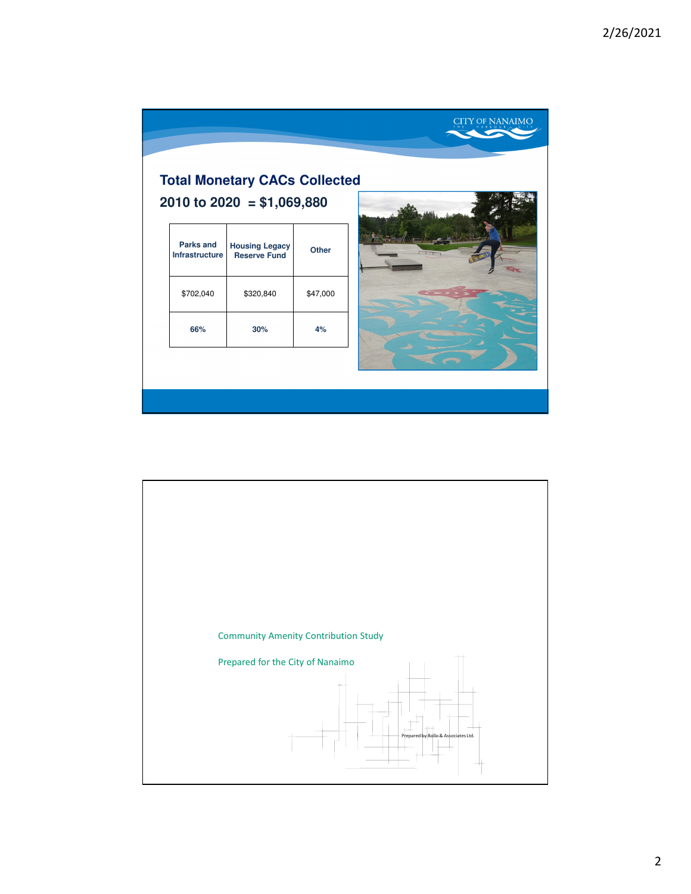|                                           | <b>Total Monetary CACs Collected</b>         |              |  |  |
|-------------------------------------------|----------------------------------------------|--------------|--|--|
|                                           | 2010 to 2020 = $$1,069,880$                  |              |  |  |
| <b>Parks and</b><br><b>Infrastructure</b> | <b>Housing Legacy</b><br><b>Reserve Fund</b> | <b>Other</b> |  |  |
| \$702,040                                 | \$320,840                                    | \$47,000     |  |  |
| 66%                                       | 30%                                          | 4%           |  |  |

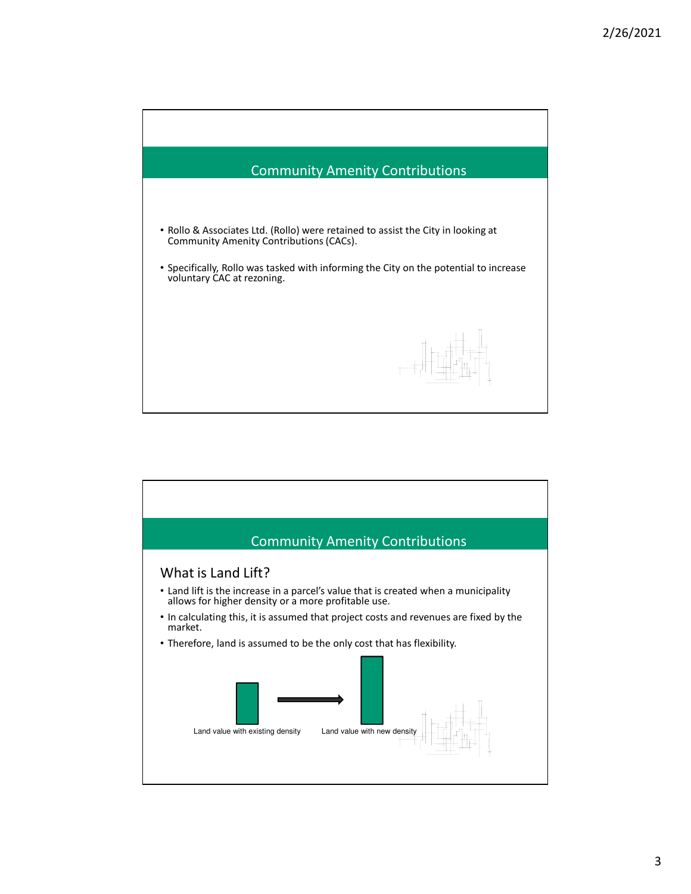

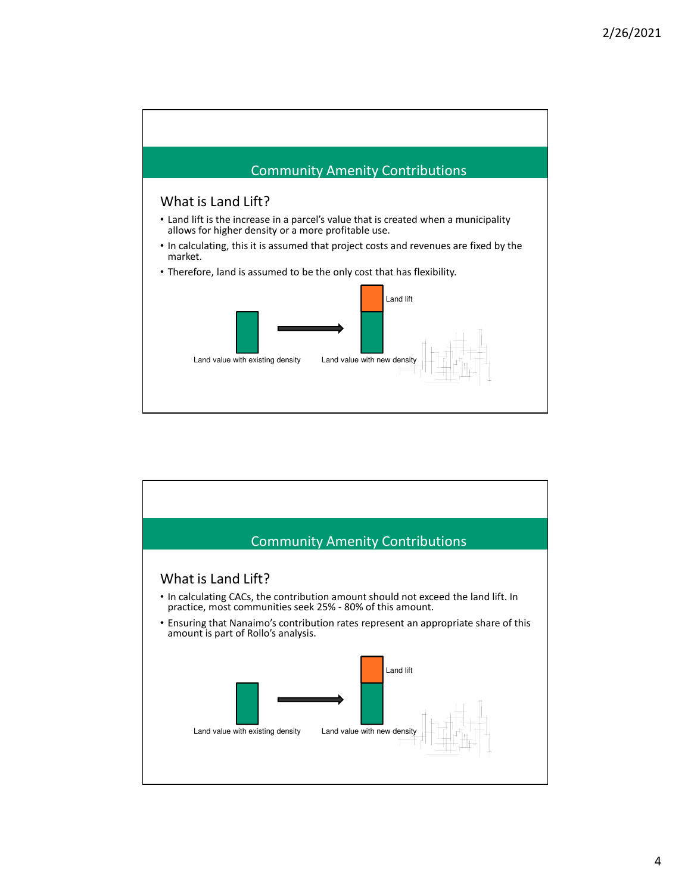

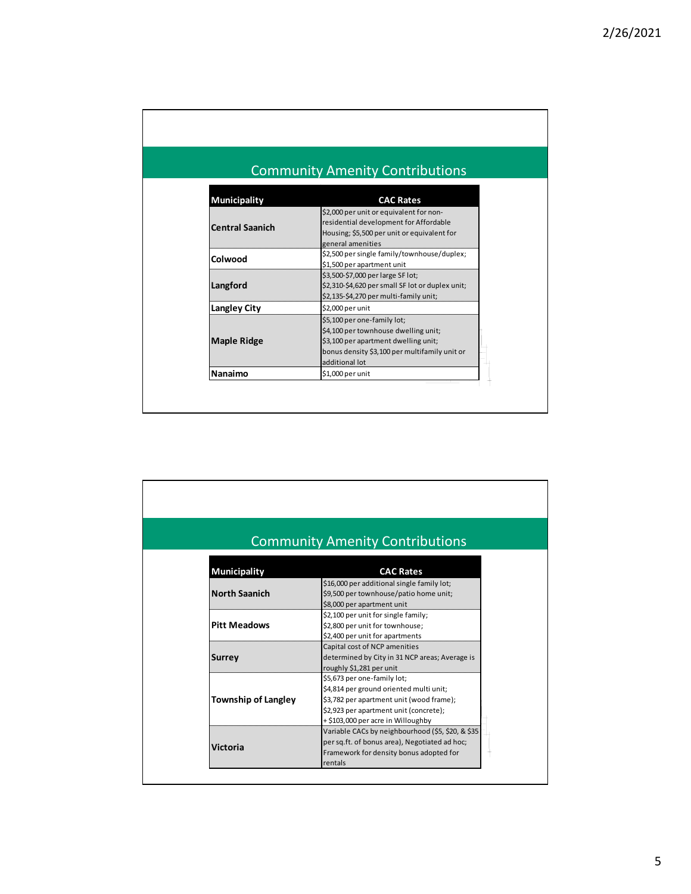|                        | <b>Community Amenity Contributions</b>                                                                                                                                         |
|------------------------|--------------------------------------------------------------------------------------------------------------------------------------------------------------------------------|
| <b>Municipality</b>    | <b>CAC Rates</b>                                                                                                                                                               |
| <b>Central Saanich</b> | \$2,000 per unit or equivalent for non-<br>residential development for Affordable<br>Housing; \$5,500 per unit or equivalent for<br>general amenities                          |
| Colwood                | \$2,500 per single family/townhouse/duplex;<br>\$1,500 per apartment unit                                                                                                      |
| Langford               | \$3,500-\$7,000 per large SF lot;<br>\$2,310-\$4,620 per small SF lot or duplex unit;<br>\$2,135-\$4,270 per multi-family unit;                                                |
| <b>Langley City</b>    | \$2,000 per unit                                                                                                                                                               |
| <b>Maple Ridge</b>     | \$5,100 per one-family lot;<br>\$4,100 per townhouse dwelling unit;<br>\$3,100 per apartment dwelling unit;<br>bonus density \$3,100 per multifamily unit or<br>additional lot |
| <b>Nanaimo</b>         | \$1,000 per unit                                                                                                                                                               |

|                            | <b>Community Amenity Contributions</b>                                                                                                                                                             |
|----------------------------|----------------------------------------------------------------------------------------------------------------------------------------------------------------------------------------------------|
| <b>Municipality</b>        | <b>CAC Rates</b>                                                                                                                                                                                   |
| <b>North Saanich</b>       | \$16,000 per additional single family lot;<br>\$9,500 per townhouse/patio home unit;<br>\$8,000 per apartment unit                                                                                 |
| <b>Pitt Meadows</b>        | \$2,100 per unit for single family;<br>\$2,800 per unit for townhouse;<br>\$2,400 per unit for apartments                                                                                          |
| <b>Surrey</b>              | Capital cost of NCP amenities<br>determined by City in 31 NCP areas; Average is<br>roughly \$1,281 per unit                                                                                        |
| <b>Township of Langley</b> | \$5,673 per one-family lot;<br>\$4,814 per ground oriented multi unit;<br>\$3,782 per apartment unit (wood frame);<br>\$2,923 per apartment unit (concrete);<br>+ \$103,000 per acre in Willoughby |
| <b>Victoria</b>            | Variable CACs by neighbourhood (\$5, \$20, & \$35<br>per sq.ft. of bonus area), Negotiated ad hoc;<br>Framework for density bonus adopted for<br>rentals                                           |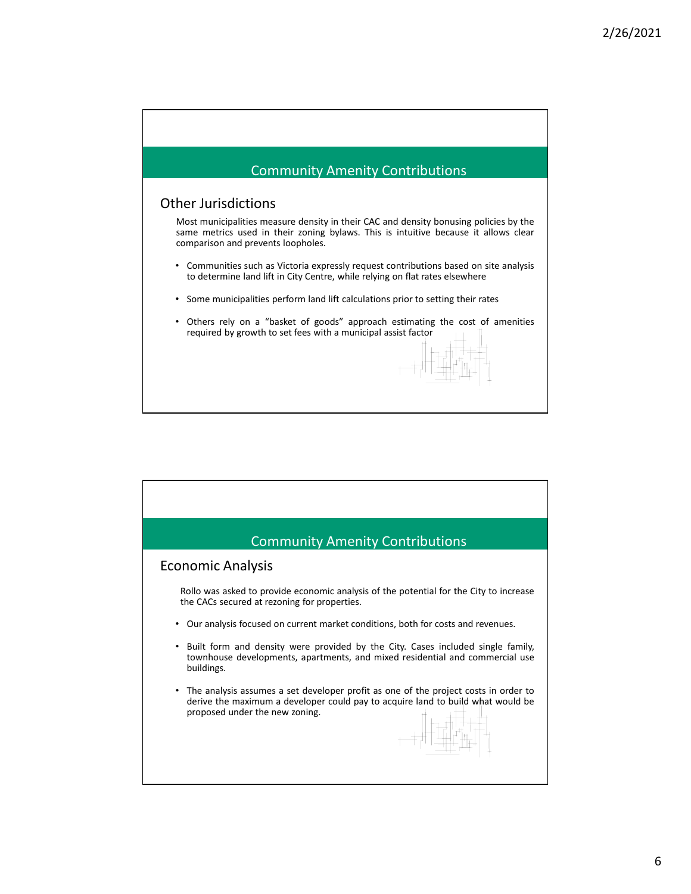

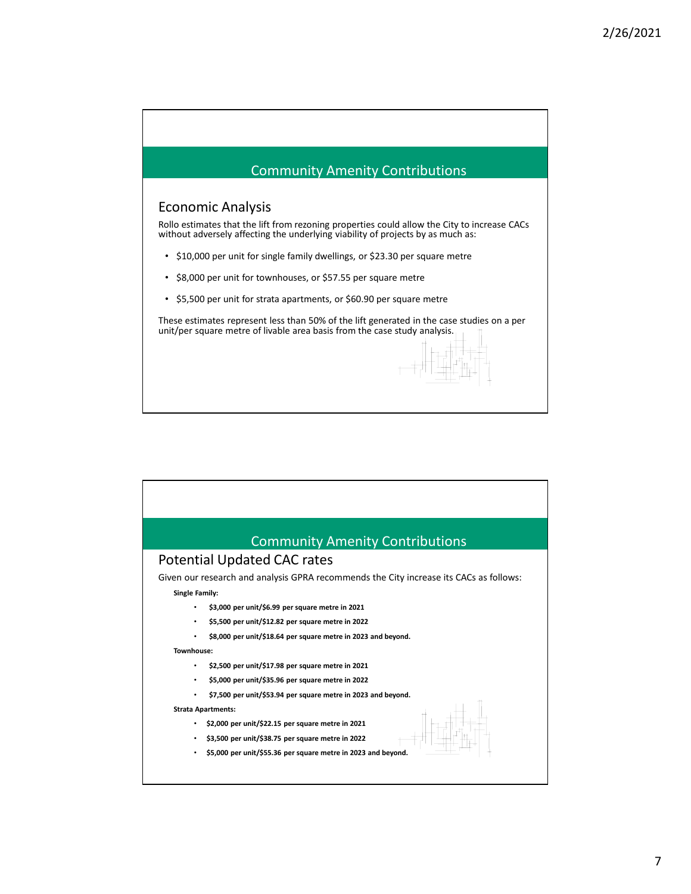

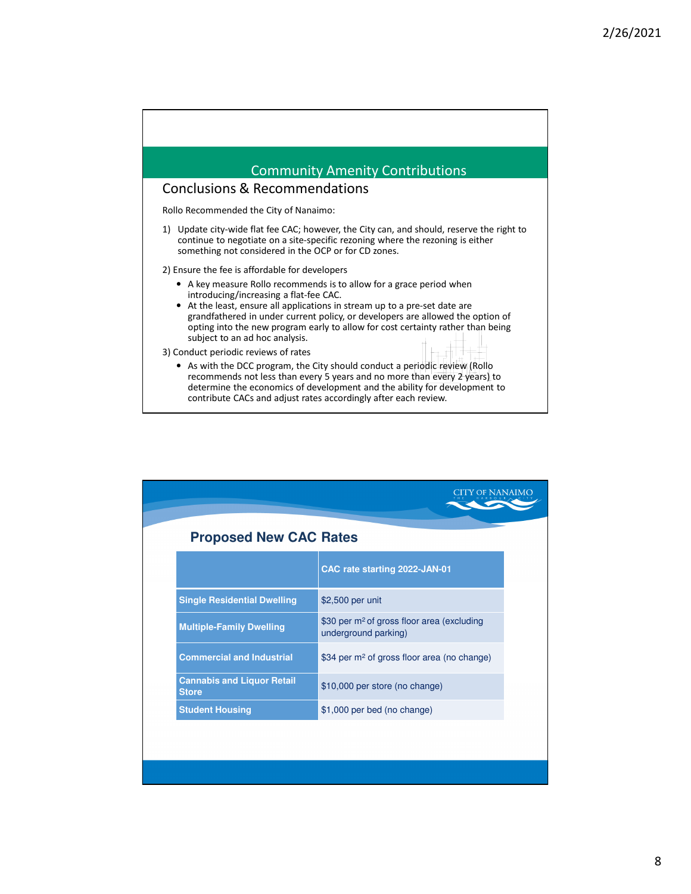

|                                                   | 'y of Nanaimo                                                                  |  |
|---------------------------------------------------|--------------------------------------------------------------------------------|--|
| <b>Proposed New CAC Rates</b>                     |                                                                                |  |
|                                                   | CAC rate starting 2022-JAN-01                                                  |  |
| <b>Single Residential Dwelling</b>                | \$2,500 per unit                                                               |  |
| <b>Multiple-Family Dwelling</b>                   | \$30 per m <sup>2</sup> of gross floor area (excluding<br>underground parking) |  |
| <b>Commercial and Industrial</b>                  | \$34 per m <sup>2</sup> of gross floor area (no change)                        |  |
| <b>Cannabis and Liquor Retail</b><br><b>Store</b> | \$10,000 per store (no change)                                                 |  |
| <b>Student Housing</b>                            | \$1,000 per bed (no change)                                                    |  |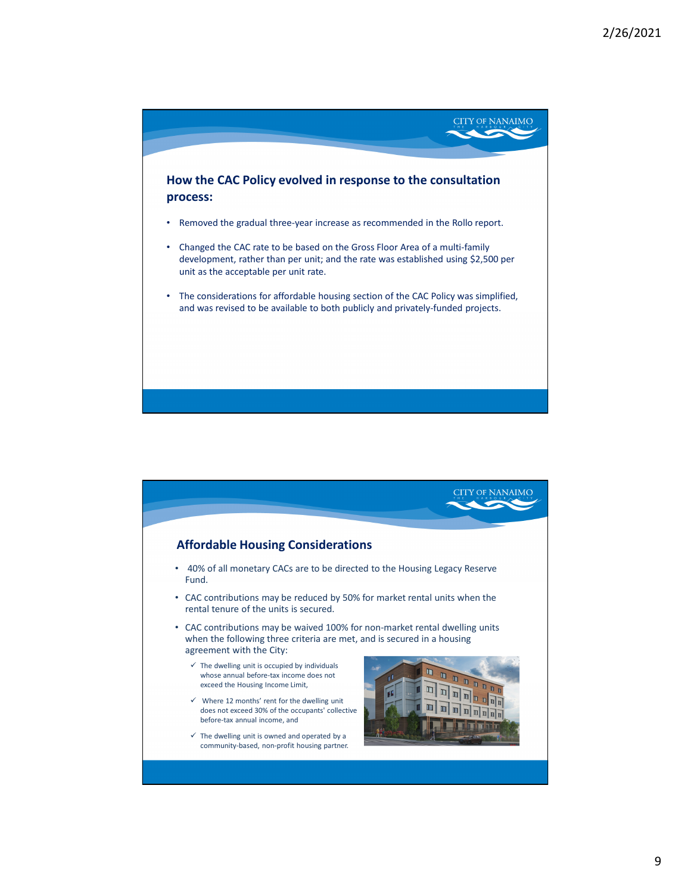